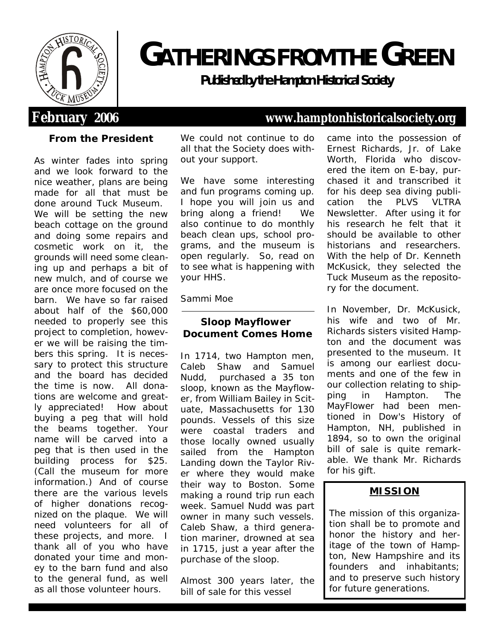

# **GATHERINGS FROM THEGREEN**

**Publishedbythe Hampton Historical Society**

## **From the President**

As winter fades into spring and we look forward to the nice weather, plans are being made for all that must be done around Tuck Museum. We will be setting the new beach cottage on the ground and doing some repairs and cosmetic work on it, the grounds will need some cleaning up and perhaps a bit of new mulch, and of course we are once more focused on the barn. We have so far raised about half of the \$60,000 needed to properly see this project to completion, however we will be raising the timbers this spring. It is necessary to protect this structure and the board has decided the time is now. All donations are welcome and greatly appreciated! How about buying a peg that will hold the beams together. Your name will be carved into a peg that is then used in the building process for \$25. (Call the museum for more information.) And of course there are the various levels of higher donations recognized on the plaque. We will need volunteers for all of these projects, and more. I thank all of you who have donated your time and money to the barn fund and also to the general fund, as well as all those volunteer hours.

We could not continue to do all that the Society does without your support.

We have some interesting and fun programs coming up. I hope you will join us and bring along a friend! We also continue to do monthly beach clean ups, school programs, and the museum is open regularly. So, read on to see what is happening with your HHS.

## Sammi Moe

**Sloop Mayflower Document Comes Home**

In 1714, two Hampton men, Caleb Shaw and Samuel Nudd, purchased a 35 ton sloop, known as the *Mayflower*, from William Bailey in Scituate, Massachusetts for 130 pounds. Vessels of this size were coastal traders and those locally owned usually sailed from the Hampton Landing down the Taylor River where they would make their way to Boston. Some making a round trip run each week. Samuel Nudd was part owner in many such vessels. Caleb Shaw, a third generation mariner, drowned at sea in 1715, just a year after the purchase of the sloop.

Almost 300 years later, the bill of sale for this vessel

## **February 2006 www.hamptonhistoricalsociety.org**

came into the possession of Ernest Richards, Jr. of Lake Worth, Florida who discovered the item on E-bay, purchased it and transcribed it for his deep sea diving publication the *PLVS VLTRA Newsletter*. After using it for his research he felt that it should be available to other historians and researchers. With the help of Dr. Kenneth McKusick, they selected the Tuck Museum as the repository for the document.

In November, Dr. McKusick, his wife and two of Mr. Richards sisters visited Hampton and the document was presented to the museum. It is among our earliest documents and one of the few in our collection relating to shipping in Hampton. The *MayFlower* had been mentioned in *Dow's History of Hampton, NH*, published in 1894, so to own the original bill of sale is quite remarkable. We thank Mr. Richards for his gift.

## **MISSION**

The mission of this organization shall be to promote and honor the history and heritage of the town of Hampton, New Hampshire and its founders and inhabitants; and to preserve such history for future generations.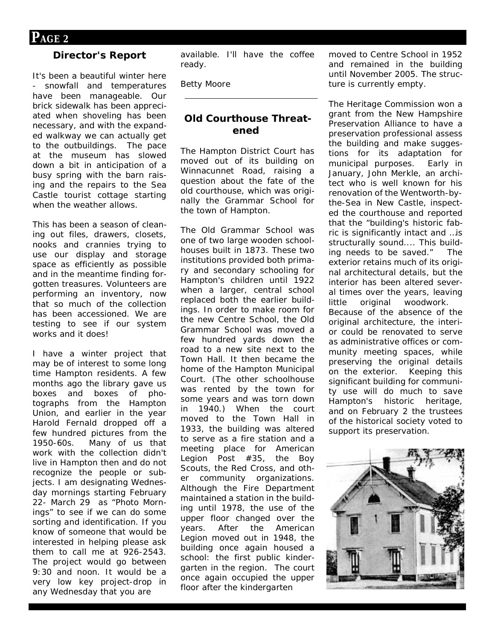## **Director's Report**

It's been a beautiful winter here - snowfall and temperatures have been manageable. Our brick sidewalk has been appreciated when shoveling has been necessary, and with the expanded walkway we can actually get to the outbuildings. The pace at the museum has slowed down a bit in anticipation of a busy spring with the barn raising and the repairs to the Sea Castle tourist cottage starting when the weather allows.

This has been a season of cleaning out files, drawers, closets, nooks and crannies trying to use our display and storage space as efficiently as possible and in the meantime finding forgotten treasures. Volunteers are performing an inventory, now that so much of the collection has been accessioned. We are testing to see if our system works and it does!

I have a winter project that may be of interest to some long time Hampton residents. A few months ago the library gave us boxes and boxes of photographs from the Hampton Union, and earlier in the year Harold Fernald dropped off a few hundred pictures from the 1950-60s. Many of us that work with the collection didn't live in Hampton then and do not recognize the people or subjects. I am designating Wednesday mornings starting February 22- March 29 as "Photo Mornings" to see if we can do some sorting and identification. If you know of someone that would be interested in helping please ask them to call me at 926-2543. The project would go between 9:30 and noon. It would be a very low key project-drop in any Wednesday that you are

available. I'll have the coffee ready.

Betty Moore

### **Old Courthouse Threatened**

The Hampton District Court has moved out of its building on Winnacunnet Road, raising a question about the fate of the old courthouse, which was originally the Grammar School for the town of Hampton.

The Old Grammar School was one of two large wooden schoolhouses built in 1873. These two institutions provided both primary and secondary schooling for Hampton's children until 1922 when a larger, central school replaced both the earlier buildings. In order to make room for the new Centre School, the Old Grammar School was moved a few hundred yards down the road to a new site next to the Town Hall. It then became the home of the Hampton Municipal Court. (The other schoolhouse was rented by the town for some years and was torn down in 1940.) When the court moved to the Town Hall in 1933, the building was altered to serve as a fire station and a meeting place for American Legion Post #35, the Boy Scouts, the Red Cross, and other community organizations. Although the Fire Department maintained a station in the building until 1978, the use of the upper floor changed over the years. After the American Legion moved out in 1948, the building once again housed a school: the first public kindergarten in the region. The court once again occupied the upper floor after the kindergarten

moved to Centre School in 1952 and remained in the building until November 2005. The structure is currently empty.

The Heritage Commission won a grant from the New Hampshire Preservation Alliance to have a preservation professional assess the building and make suggestions for its adaptation for municipal purposes. Early in January, John Merkle, an architect who is well known for his renovation of the Wentworth-bythe-Sea in New Castle, inspected the courthouse and reported that the "building's historic fabric is significantly intact and …is structurally sound.... This building needs to be saved." The exterior retains much of its original architectural details, but the interior has been altered several times over the years, leaving little original woodwork. Because of the absence of the original architecture, the interior could be renovated to serve as administrative offices or community meeting spaces, while preserving the original details on the exterior. Keeping this significant building for community use will do much to save Hampton's historic heritage, and on February 2 the trustees

of the historical society voted to support its preservation.

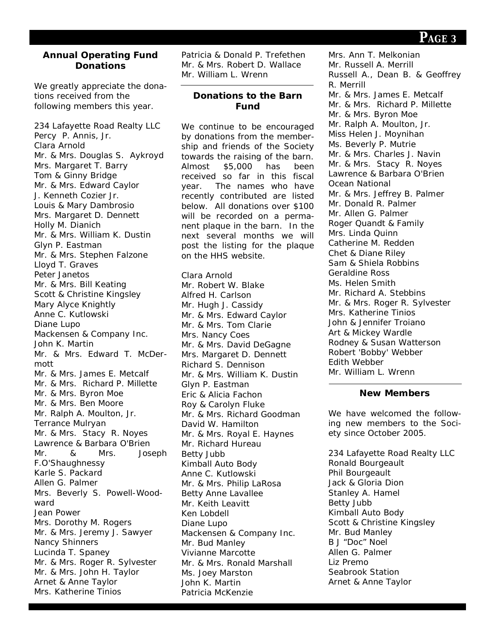#### **Annual Operating Fund Donations**

We greatly appreciate the donations received from the following members this year.

234 Lafayette Road Realty LLC Percy P. Annis, Jr. Clara Arnold Mr. & Mrs. Douglas S. Aykroyd Mrs. Margaret T. Barry Tom & Ginny Bridge Mr. & Mrs. Edward Caylor J. Kenneth Cozier Jr. Louis & Mary Dambrosio Mrs. Margaret D. Dennett Holly M. Dianich Mr. & Mrs. William K. Dustin Glyn P. Eastman Mr. & Mrs. Stephen Falzone Lloyd T. Graves Peter Janetos Mr. & Mrs. Bill Keating Scott & Christine Kingsley Mary Alyce Knightly Anne C. Kutlowski Diane Lupo Mackensen & Company Inc. John K. Martin Mr. & Mrs. Edward T. McDermott Mr. & Mrs. James E. Metcalf Mr. & Mrs. Richard P. Millette Mr. & Mrs. Byron Moe Mr. & Mrs. Ben Moore Mr. Ralph A. Moulton, Jr. Terrance Mulryan Mr. & Mrs. Stacy R. Noyes Lawrence & Barbara O'Brien Mr. & Mrs. Joseph F.O'Shaughnessy Karle S. Packard Allen G. Palmer Mrs. Beverly S. Powell-Woodward Jean Power Mrs. Dorothy M. Rogers Mr. & Mrs. Jeremy J. Sawyer Nancy Shinners Lucinda T. Spaney Mr. & Mrs. Roger R. Sylvester Mr. & Mrs. John H. Taylor Arnet & Anne Taylor Mrs. Katherine Tinios

Patricia & Donald P. Trefethen Mr. & Mrs. Robert D. Wallace Mr. William L. Wrenn

#### **Donations to the Barn Fund**

We continue to be encouraged by donations from the membership and friends of the Society towards the raising of the barn. Almost \$5,000 has been received so far in this fiscal year. The names who have recently contributed are listed below. All donations over \$100 will be recorded on a permanent plaque in the barn. In the next several months we will post the listing for the plaque on the HHS website.

Clara Arnold Mr. Robert W. Blake Alfred H. Carlson Mr. Hugh J. Cassidy Mr. & Mrs. Edward Caylor Mr. & Mrs. Tom Clarie Mrs. Nancy Coes Mr. & Mrs. David DeGagne Mrs. Margaret D. Dennett Richard S. Dennison Mr. & Mrs. William K. Dustin Glyn P. Eastman Eric & Alicia Fachon Roy & Carolyn Fluke Mr. & Mrs. Richard Goodman David W. Hamilton Mr. & Mrs. Royal E. Haynes Mr. Richard Hureau Betty Jubb Kimball Auto Body Anne C. Kutlowski Mr. & Mrs. Philip LaRosa Betty Anne Lavallee Mr. Keith Leavitt Ken Lobdell Diane Lupo Mackensen & Company Inc. Mr. Bud Manley Vivianne Marcotte Mr. & Mrs. Ronald Marshall Ms. Joey Marston John K. Martin Patricia McKenzie

Mrs. Ann T. Melkonian Mr. Russell A. Merrill Russell A., Dean B. & Geoffrey R. Merrill Mr. & Mrs. James E. Metcalf Mr. & Mrs. Richard P. Millette Mr. & Mrs. Byron Moe Mr. Ralph A. Moulton, Jr. Miss Helen J. Moynihan Ms. Beverly P. Mutrie Mr. & Mrs. Charles J. Navin Mr. & Mrs. Stacy R. Noyes Lawrence & Barbara O'Brien Ocean National Mr. & Mrs. Jeffrey B. Palmer Mr. Donald R. Palmer Mr. Allen G. Palmer Roger Quandt & Family Mrs. Linda Quinn Catherine M. Redden Chet & Diane Riley Sam & Shiela Robbins Geraldine Ross Ms. Helen Smith Mr. Richard A. Stebbins Mr. & Mrs. Roger R. Sylvester Mrs. Katherine Tinios John & Jennifer Troiano Art & Mickey Wardle Rodney & Susan Watterson Robert 'Bobby' Webber Edith Webber Mr. William L. Wrenn

#### **New Members**

We have welcomed the following new members to the Society since October 2005.

234 Lafayette Road Realty LLC Ronald Bourgeault Phil Bourgeault Jack & Gloria Dion Stanley A. Hamel Betty Jubb Kimball Auto Body Scott & Christine Kingsley Mr. Bud Manley B J "Doc" Noel Allen G. Palmer Liz Premo Seabrook Station Arnet & Anne Taylor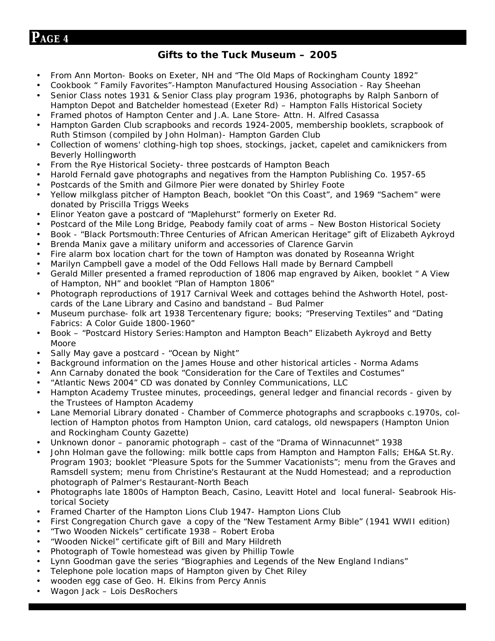## **PAGE <sup>4</sup>**

## **Gifts to the Tuck Museum – 2005**

- From Ann Morton- Books on Exeter, NH and "The Old Maps of Rockingham County 1892"
- Cookbook " Family Favorites"-Hampton Manufactured Housing Association Ray Sheehan
- Senior Class notes 1931 & Senior Class play program 1936, photographs by Ralph Sanborn of Hampton Depot and Batchelder homestead (Exeter Rd) – Hampton Falls Historical Society
- Framed photos of Hampton Center and J.A. Lane Store- Attn. H. Alfred Casassa
- Hampton Garden Club scrapbooks and records 1924-2005, membership booklets, scrapbook of Ruth Stimson (compiled by John Holman)- Hampton Garden Club
- Collection of womens' clothing-high top shoes, stockings, jacket, capelet and camiknickers from Beverly Hollingworth
- From the Rye Historical Society- three postcards of Hampton Beach
- Harold Fernald gave photographs and negatives from the Hampton Publishing Co. 1957-65
- Postcards of the Smith and Gilmore Pier were donated by Shirley Foote
- Yellow milkglass pitcher of Hampton Beach, booklet "On this Coast", and 1969 "Sachem" were donated by Priscilla Triggs Weeks
- Elinor Yeaton gave a postcard of "Maplehurst" formerly on Exeter Rd.
- Postcard of the Mile Long Bridge, Peabody family coat of arms New Boston Historical Society
- Book "Black Portsmouth:Three Centuries of African American Heritage" gift of Elizabeth Aykroyd
- Brenda Manix gave a military uniform and accessories of Clarence Garvin
- Fire alarm box location chart for the town of Hampton was donated by Roseanna Wright
- Marilyn Campbell gave a model of the Odd Fellows Hall made by Bernard Campbell
- Gerald Miller presented a framed reproduction of 1806 map engraved by Aiken, booklet " A View of Hampton, NH" and booklet "Plan of Hampton 1806"
- Photograph reproductions of 1917 Carnival Week and cottages behind the Ashworth Hotel, postcards of the Lane Library and Casino and bandstand – Bud Palmer
- Museum purchase- folk art 1938 Tercentenary figure; books; "Preserving Textiles" and "Dating Fabrics: A Color Guide 1800-1960"
- Book "Postcard History Series: Hampton and Hampton Beach" Elizabeth Aykroyd and Betty Moore
- Sally May gave a postcard "Ocean by Night"
- Background information on the James House and other historical articles Norma Adams
- Ann Carnaby donated the book "Consideration for the Care of Textiles and Costumes"
- "Atlantic News 2004" CD was donated by Connley Communications, LLC
- Hampton Academy Trustee minutes, proceedings, general ledger and financial records given by the Trustees of Hampton Academy
- Lane Memorial Library donated Chamber of Commerce photographs and scrapbooks c.1970s, collection of Hampton photos from Hampton Union, card catalogs, old newspapers (Hampton Union and Rockingham County Gazette)
- Unknown donor panoramic photograph cast of the "Drama of Winnacunnet" 1938
- John Holman gave the following: milk bottle caps from Hampton and Hampton Falls; EH&A St.Ry. Program 1903; booklet "Pleasure Spots for the Summer Vacationists"; menu from the Graves and Ramsdell system; menu from Christine's Restaurant at the Nudd Homestead; and a reproduction photograph of Palmer's Restaurant-North Beach
- Photographs late 1800s of Hampton Beach, Casino, Leavitt Hotel and local funeral- Seabrook Historical Society
- Framed Charter of the Hampton Lions Club 1947- Hampton Lions Club
- First Congregation Church gave a copy of the "New Testament Army Bible" (1941 WWII edition)
- "Two Wooden Nickels" certificate 1938 Robert Eroba
- "Wooden Nickel" certificate gift of Bill and Mary Hildreth
- Photograph of Towle homestead was given by Phillip Towle
- Lynn Goodman gave the series "Biographies and Legends of the New England Indians"
- Telephone pole location maps of Hampton given by Chet Riley
- wooden egg case of Geo. H. Elkins from Percy Annis
- Wagon Jack Lois DesRochers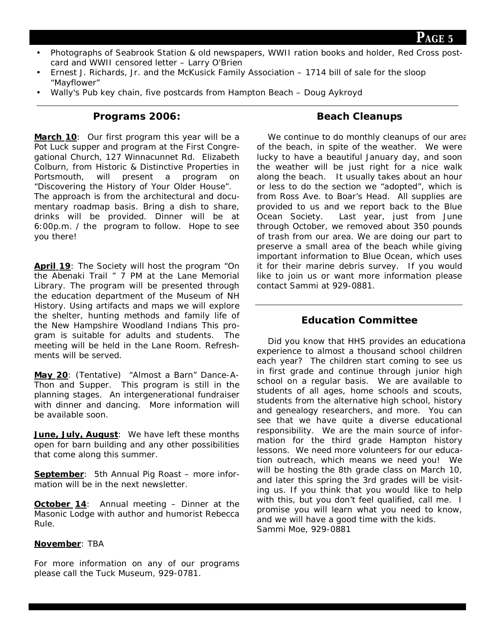**PAGE <sup>5</sup>**

- Photographs of Seabrook Station & old newspapers, WWII ration books and holder, Red Cross postcard and WWII censored letter – Larry O'Brien
- Ernest J. Richards, Jr. and the McKusick Family Association 1714 bill of sale for the sloop "Mayflower"
- Wally's Pub key chain, five postcards from Hampton Beach Doug Aykroyd

**Programs 2006:**

**March 10**: Our first program this year will be a Pot Luck supper and program at the First Congregational Church, 127 Winnacunnet Rd. Elizabeth Colburn, from Historic & Distinctive Properties in Portsmouth, will present a program on "Discovering the History of Your Older House". The approach is from the architectural and documentary roadmap basis. Bring a dish to share, drinks will be provided. Dinner will be at 6:00p.m. / the program to follow. Hope to see you there!

**April 19**: The Society will host the program "On the Abenaki Trail " 7 PM at the Lane Memorial Library. The program will be presented through the education department of the Museum of NH History. Using artifacts and maps we will explore the shelter, hunting methods and family life of the New Hampshire Woodland Indians This program is suitable for adults and students. The meeting will be held in the Lane Room. Refreshments will be served.

**May 20**: (Tentative) "Almost a Barn" Dance-A-Thon and Supper. This program is still in the planning stages. An intergenerational fundraiser with dinner and dancing. More information will be available soon.

**June, July, August**: We have left these months open for barn building and any other possibilities that come along this summer.

**September**: 5th Annual Pig Roast – more information will be in the next newsletter.

**October 14**: Annual meeting – Dinner at the Masonic Lodge with author and humorist Rebecca Rule.

#### **November**: TBA

For more information on any of our programs please call the Tuck Museum, 929-0781.

## **Beach Cleanups**

We continue to do monthly cleanups of our area of the beach, in spite of the weather. We were lucky to have a beautiful January day, and soon the weather will be just right for a nice walk along the beach. It usually takes about an hour or less to do the section we "adopted", which is from Ross Ave. to Boar's Head. All supplies are provided to us and we report back to the Blue Ocean Society. Last year, just from June through October, we removed about 350 pounds of trash from our area. We are doing our part to preserve a small area of the beach while giving important information to Blue Ocean, which uses it for their marine debris survey. If you would like to join us or want more information please contact Sammi at 929-0881.

## **Education Committee**

Did you know that HHS provides an educational experience to almost a thousand school children each year? The children start coming to see us in first grade and continue through junior high school on a regular basis. We are available to students of all ages, home schools and scouts, students from the alternative high school, history and genealogy researchers, and more. You can see that we have quite a diverse educational responsibility. We are the main source of information for the third grade Hampton history lessons. We need more volunteers for our education outreach, which means we need you! We will be hosting the 8th grade class on March 10, and later this spring the 3rd grades will be visiting us. If you think that you would like to help with this, but you don't feel qualified, call me. I promise you will learn what you need to know, and we will have a good time with the kids. Sammi Moe, 929-0881